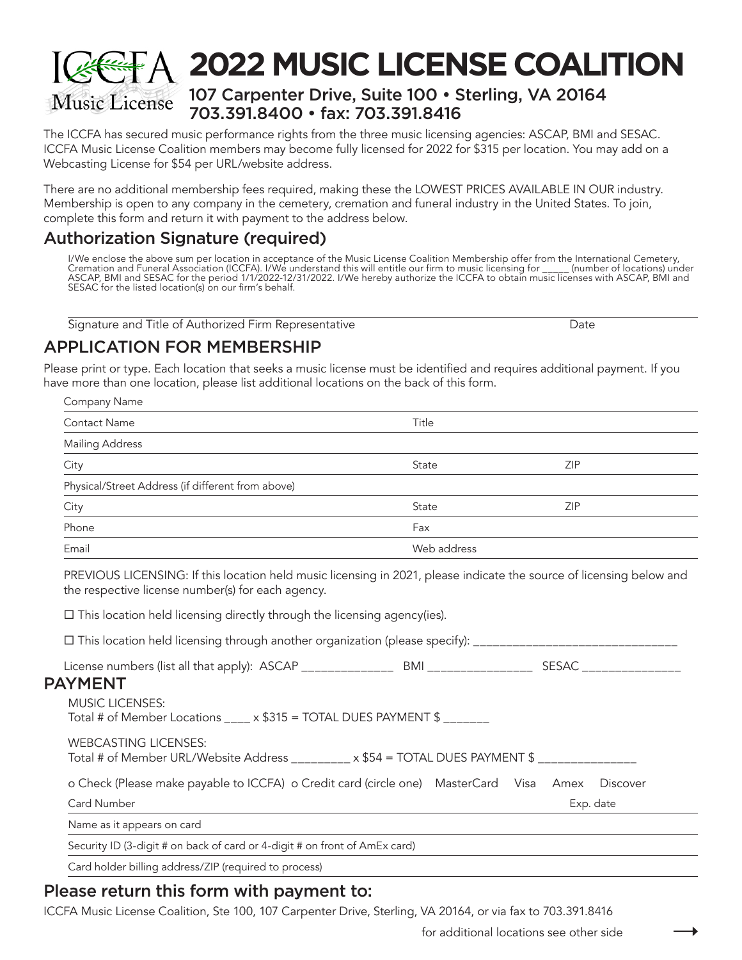## have more than one location, please list additional locations on the back of this form.

Please print or type. Each location that seeks a music license must be identified and requires additional payment. If you

| Company Name                                      |             |            |
|---------------------------------------------------|-------------|------------|
| Contact Name                                      | Title       |            |
| <b>Mailing Address</b>                            |             |            |
| City                                              | State       | <b>ZIP</b> |
| Physical/Street Address (if different from above) |             |            |
| City                                              | State       | <b>ZIP</b> |
| Phone                                             | Fax         |            |
| Email                                             | Web address |            |

PREVIOUS LICENSING: If this location held music licensing in 2021, please indicate the source of licensing below and the respective license number(s) for each agency.

 $\Box$  This location held licensing directly through the licensing agency(ies).

This location held licensing through another organization (please specify): \_\_\_\_\_\_\_\_\_\_\_\_\_\_\_\_\_\_\_\_\_\_\_\_\_\_\_\_\_\_\_

License numbers (list all that apply): ASCAP \_\_\_\_\_\_\_\_\_\_\_\_\_\_ BMI \_\_\_\_\_\_\_\_\_\_\_\_\_\_\_\_ SESAC \_\_\_\_\_\_\_\_\_\_\_\_\_\_\_

#### PAYMENT

| <b>MUSIC LICENSES:</b>                                                                        |  |  |  |           |  |
|-----------------------------------------------------------------------------------------------|--|--|--|-----------|--|
| Total # of Member Locations ____ x \$315 = TOTAL DUES PAYMENT \$ _______                      |  |  |  |           |  |
|                                                                                               |  |  |  |           |  |
| <b>WEBCASTING LICENSES:</b>                                                                   |  |  |  |           |  |
|                                                                                               |  |  |  |           |  |
| Total # of Member URL/Website Address _________ x \$54 = TOTAL DUES PAYMENT \$ ______________ |  |  |  |           |  |
|                                                                                               |  |  |  |           |  |
| o Check (Please make payable to ICCFA) o Credit card (circle one) MasterCard Visa Amex        |  |  |  | Discover  |  |
|                                                                                               |  |  |  |           |  |
| Card Number                                                                                   |  |  |  | Exp. date |  |
|                                                                                               |  |  |  |           |  |
| Name as it appears on card                                                                    |  |  |  |           |  |
| Security ID (3-digit # on back of card or 4-digit # on front of AmEx card)                    |  |  |  |           |  |
|                                                                                               |  |  |  |           |  |
| Card holder billing address/ZIP (required to process)                                         |  |  |  |           |  |
|                                                                                               |  |  |  |           |  |

#### Please return this form with payment to:

ICCFA Music License Coalition, Ste 100, 107 Carpenter Drive, Sterling, VA 20164, or via fax to 703.391.8416

#### 107 Carpenter Drive, Suite 100 • Sterling, VA 20164 **Music License** 703.391.8400 • fax: 703.391.8416

The ICCFA has secured music performance rights from the three music licensing agencies: ASCAP, BMI and SESAC. ICCFA Music License Coalition members may become fully licensed for 2022 for \$315 per location. You may add on a Webcasting License for \$54 per URL/website address.

There are no additional membership fees required, making these the LOWEST PRICES AVAILABLE IN OUR industry. Membership is open to any company in the cemetery, cremation and funeral industry in the United States. To join, complete this form and return it with payment to the address below.

## Authorization Signature (required)

APPLICATION FOR MEMBERSHIP

I/We enclose the above sum per location in acceptance of the Music License Coalition Membership offer from the International Cemetery, Cremation and Funeral Association (ICCFA). I/We understand this will entitle our firm to music licensing for \_\_\_\_\_ (number of locations) under ASCAP, BMI and SESAC for the period 1/1/2022-12/31/2022. I/We hereby authorize the ICCFA to obtain music licenses with ASCAP, BMI and SESAC for the listed location(s) on our firm's behalf.

Signature and Title of Authorized Firm Representative **Date** Date Date

# **2022 MUSIC LICENSE COALITION**